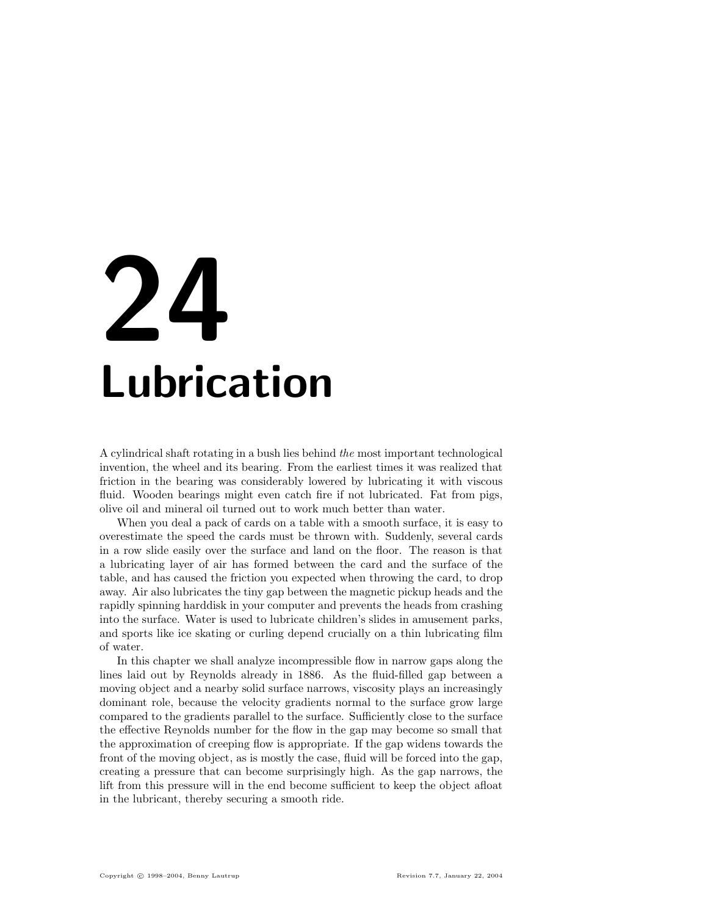# 24 Lubrication

A cylindrical shaft rotating in a bush lies behind the most important technological invention, the wheel and its bearing. From the earliest times it was realized that friction in the bearing was considerably lowered by lubricating it with viscous fluid. Wooden bearings might even catch fire if not lubricated. Fat from pigs, olive oil and mineral oil turned out to work much better than water.

When you deal a pack of cards on a table with a smooth surface, it is easy to overestimate the speed the cards must be thrown with. Suddenly, several cards in a row slide easily over the surface and land on the floor. The reason is that a lubricating layer of air has formed between the card and the surface of the table, and has caused the friction you expected when throwing the card, to drop away. Air also lubricates the tiny gap between the magnetic pickup heads and the rapidly spinning harddisk in your computer and prevents the heads from crashing into the surface. Water is used to lubricate children's slides in amusement parks, and sports like ice skating or curling depend crucially on a thin lubricating film of water.

In this chapter we shall analyze incompressible flow in narrow gaps along the lines laid out by Reynolds already in 1886. As the fluid-filled gap between a moving object and a nearby solid surface narrows, viscosity plays an increasingly dominant role, because the velocity gradients normal to the surface grow large compared to the gradients parallel to the surface. Sufficiently close to the surface the effective Reynolds number for the flow in the gap may become so small that the approximation of creeping flow is appropriate. If the gap widens towards the front of the moving object, as is mostly the case, fluid will be forced into the gap, creating a pressure that can become surprisingly high. As the gap narrows, the lift from this pressure will in the end become sufficient to keep the object afloat in the lubricant, thereby securing a smooth ride.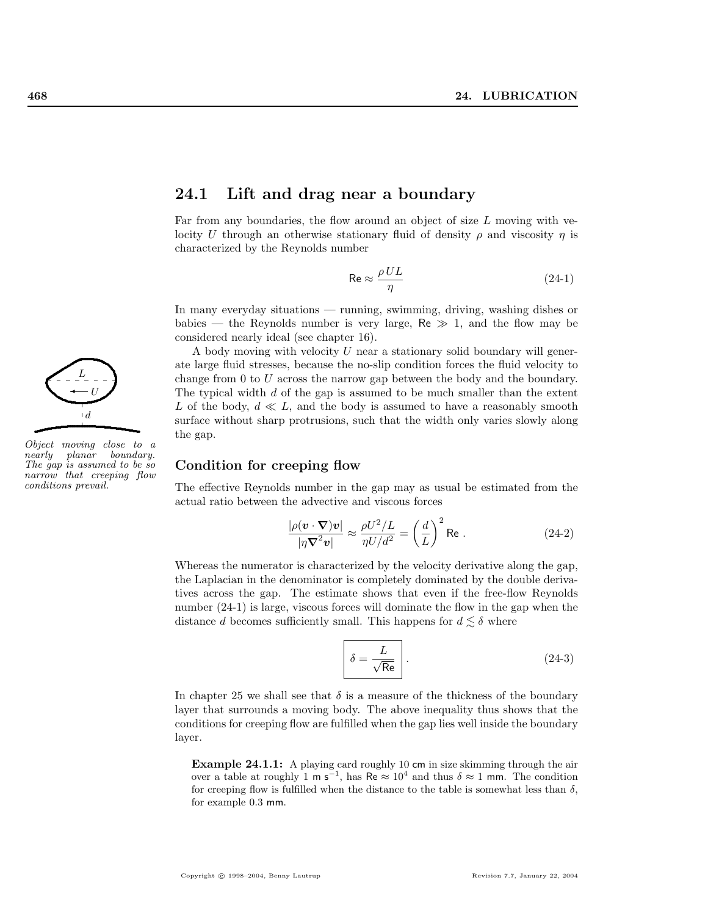

Object moving close to a nearly planar boundary. The gap is assumed to be so narrow that creeping flow conditions prevail.

# 24.1 Lift and drag near a boundary

Far from any boundaries, the flow around an object of size  $L$  moving with velocity U through an otherwise stationary fluid of density  $\rho$  and viscosity  $\eta$  is characterized by the Reynolds number

$$
\text{Re} \approx \frac{\rho UL}{\eta} \tag{24-1}
$$

In many everyday situations — running, swimming, driving, washing dishes or babies — the Reynolds number is very large,  $Re \gg 1$ , and the flow may be considered nearly ideal (see chapter 16).

A body moving with velocity U near a stationary solid boundary will generate large fluid stresses, because the no-slip condition forces the fluid velocity to change from 0 to U across the narrow gap between the body and the boundary. The typical width  $d$  of the gap is assumed to be much smaller than the extent L of the body,  $d \ll L$ , and the body is assumed to have a reasonably smooth surface without sharp protrusions, such that the width only varies slowly along the gap.

## Condition for creeping flow

The effective Reynolds number in the gap may as usual be estimated from the actual ratio between the advective and viscous forces

$$
\frac{|\rho(\mathbf{v} \cdot \nabla)\mathbf{v}|}{|\eta \nabla^2 \mathbf{v}|} \approx \frac{\rho U^2 / L}{\eta U / d^2} = \left(\frac{d}{L}\right)^2 \text{Re}.
$$
 (24-2)

Whereas the numerator is characterized by the velocity derivative along the gap, the Laplacian in the denominator is completely dominated by the double derivatives across the gap. The estimate shows that even if the free-flow Reynolds number  $(24-1)$  is large, viscous forces will dominate the flow in the gap when the distance d becomes sufficiently small. This happens for  $d \leq \delta$  where

$$
\delta = \frac{L}{\sqrt{\text{Re}}}
$$
 (24-3)

In chapter 25 we shall see that  $\delta$  is a measure of the thickness of the boundary layer that surrounds a moving body. The above inequality thus shows that the conditions for creeping flow are fulfilled when the gap lies well inside the boundary layer.

Example 24.1.1: A playing card roughly 10 cm in size skimming through the air over a table at roughly 1 m s<sup>-1</sup>, has Re  $\approx 10^4$  and thus  $\delta \approx 1$  mm. The condition for creeping flow is fulfilled when the distance to the table is somewhat less than  $\delta$ , for example 0.3 mm.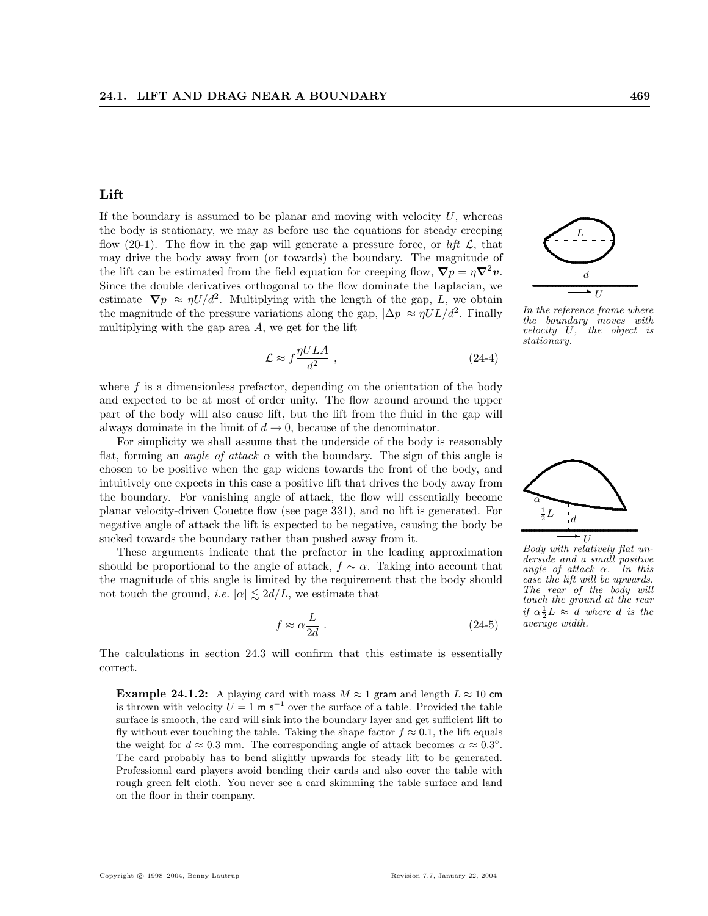# Lift

If the boundary is assumed to be planar and moving with velocity  $U$ , whereas the body is stationary, we may as before use the equations for steady creeping flow (20-1). The flow in the gap will generate a pressure force, or lift  $\mathcal{L}$ , that may drive the body away from (or towards) the boundary. The magnitude of the lift can be estimated from the field equation for creeping flow,  $\nabla p = \eta \nabla^2 v$ . Since the double derivatives orthogonal to the flow dominate the Laplacian, we estimate  $|\nabla p| \approx \eta U/d^2$ . Multiplying with the length of the gap, L, we obtain the magnitude of the pressure variations along the gap,  $|\Delta p| \approx \eta U L/d^2$ . Finally multiplying with the gap area  $A$ , we get for the lift

$$
\mathcal{L} \approx f \frac{\eta U L A}{d^2} \,, \tag{24-4}
$$

where  $f$  is a dimensionless prefactor, depending on the orientation of the body and expected to be at most of order unity. The flow around around the upper part of the body will also cause lift, but the lift from the fluid in the gap will always dominate in the limit of  $d \to 0$ , because of the denominator.

For simplicity we shall assume that the underside of the body is reasonably flat, forming an *angle of attack*  $\alpha$  with the boundary. The sign of this angle is chosen to be positive when the gap widens towards the front of the body, and intuitively one expects in this case a positive lift that drives the body away from the boundary. For vanishing angle of attack, the flow will essentially become planar velocity-driven Couette flow (see page 331), and no lift is generated. For negative angle of attack the lift is expected to be negative, causing the body be sucked towards the boundary rather than pushed away from it.

These arguments indicate that the prefactor in the leading approximation should be proportional to the angle of attack,  $f \sim \alpha$ . Taking into account that the magnitude of this angle is limited by the requirement that the body should not touch the ground, *i.e.*  $|\alpha| \leq 2d/L$ , we estimate that

$$
f \approx \alpha \frac{L}{2d} \ . \tag{24-5}
$$

The calculations in section 24.3 will confirm that this estimate is essentially correct.

**Example 24.1.2:** A playing card with mass  $M \approx 1$  gram and length  $L \approx 10$  cm is thrown with velocity  $U = 1$  m s<sup>-1</sup> over the surface of a table. Provided the table surface is smooth, the card will sink into the boundary layer and get sufficient lift to fly without ever touching the table. Taking the shape factor  $f \approx 0.1$ , the lift equals the weight for  $d \approx 0.3$  mm. The corresponding angle of attack becomes  $\alpha \approx 0.3^{\circ}$ . The card probably has to bend slightly upwards for steady lift to be generated. Professional card players avoid bending their cards and also cover the table with rough green felt cloth. You never see a card skimming the table surface and land on the floor in their company.



 $\overline{\phantom{a}}$ 

L

the boundary moves with velocity U, the object is stationary.



Body with relatively flat underside and a small positive angle of attack  $\alpha$ . In this case the lift will be upwards. The rear of the body will touch the ground at the rear if  $\alpha \frac{1}{2}L \approx d$  where d is the average width.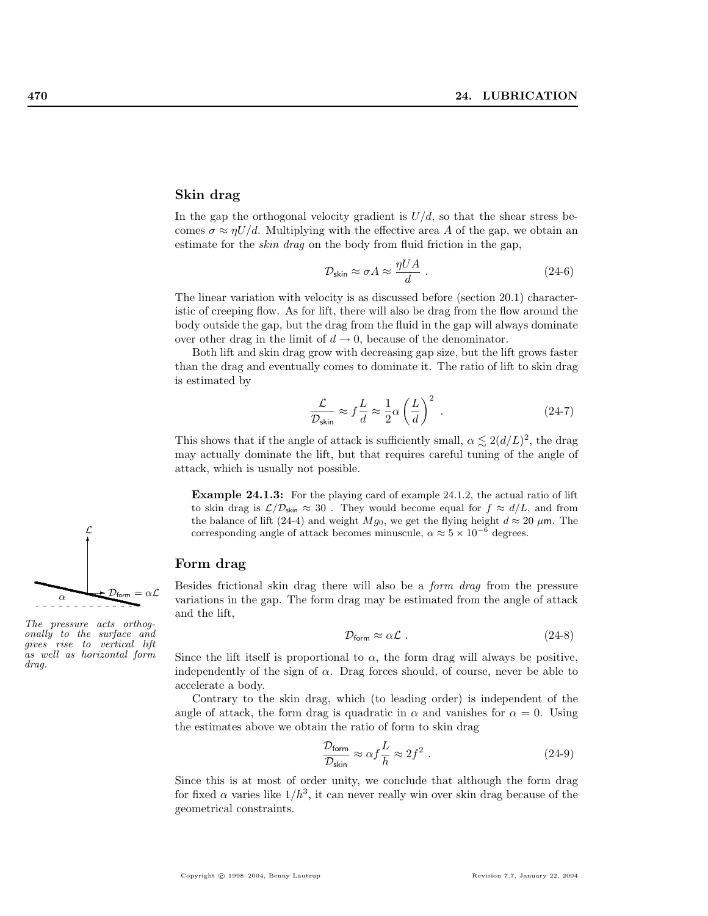#### Skin drag

In the gap the orthogonal velocity gradient is  $U/d$ , so that the shear stress becomes  $\sigma \approx \eta U/d$ . Multiplying with the effective area A of the gap, we obtain an estimate for the *skin drag* on the body from fluid friction in the gap,

$$
\mathcal{D}_{\text{skin}} \approx \sigma A \approx \frac{\eta UA}{d} \ . \tag{24-6}
$$

The linear variation with velocity is as discussed before (section 20.1) characteristic of creeping flow. As for lift, there will also be drag from the flow around the body outside the gap, but the drag from the fluid in the gap will always dominate over other drag in the limit of  $d \to 0$ , because of the denominator.

Both lift and skin drag grow with decreasing gap size, but the lift grows faster than the drag and eventually comes to dominate it. The ratio of lift to skin drag is estimated by

$$
\frac{\mathcal{L}}{\mathcal{D}_{\text{skin}}} \approx f \frac{L}{d} \approx \frac{1}{2} \alpha \left(\frac{L}{d}\right)^2 \tag{24-7}
$$

This shows that if the angle of attack is sufficiently small,  $\alpha \leq 2(d/L)^2$ , the drag may actually dominate the lift, but that requires careful tuning of the angle of attack, which is usually not possible.

Example 24.1.3: For the playing card of example 24.1.2, the actual ratio of lift to skin drag is  $\mathcal{L}/\mathcal{D}_{\text{skin}} \approx 30$ . They would become equal for  $f \approx d/L$ , and from the balance of lift (24-4) and weight  $Mg_0$ , we get the flying height  $d \approx 20 \ \mu \text{m}$ . The corresponding angle of attack becomes minuscule,  $\alpha \approx 5 \times 10^{-6}$  degrees.

#### Form drag

Besides frictional skin drag there will also be a form drag from the pressure variations in the gap. The form drag may be estimated from the angle of attack and the lift,

$$
\mathcal{D}_{\text{form}} \approx \alpha \mathcal{L} \tag{24-8}
$$

Since the lift itself is proportional to  $\alpha$ , the form drag will always be positive, independently of the sign of  $\alpha$ . Drag forces should, of course, never be able to accelerate a body.

Contrary to the skin drag, which (to leading order) is independent of the angle of attack, the form drag is quadratic in  $\alpha$  and vanishes for  $\alpha = 0$ . Using the estimates above we obtain the ratio of form to skin drag

$$
\frac{\mathcal{D}_{\text{form}}}{\mathcal{D}_{\text{skin}}} \approx \alpha f \frac{L}{h} \approx 2f^2 \ . \tag{24-9}
$$

Since this is at most of order unity, we conclude that although the form drag for fixed  $\alpha$  varies like  $1/h^3$ , it can never really win over skin drag because of the geometrical constraints.



The pressure acts orthogonally to the surface and gives rise to vertical lift as well as horizontal form drag.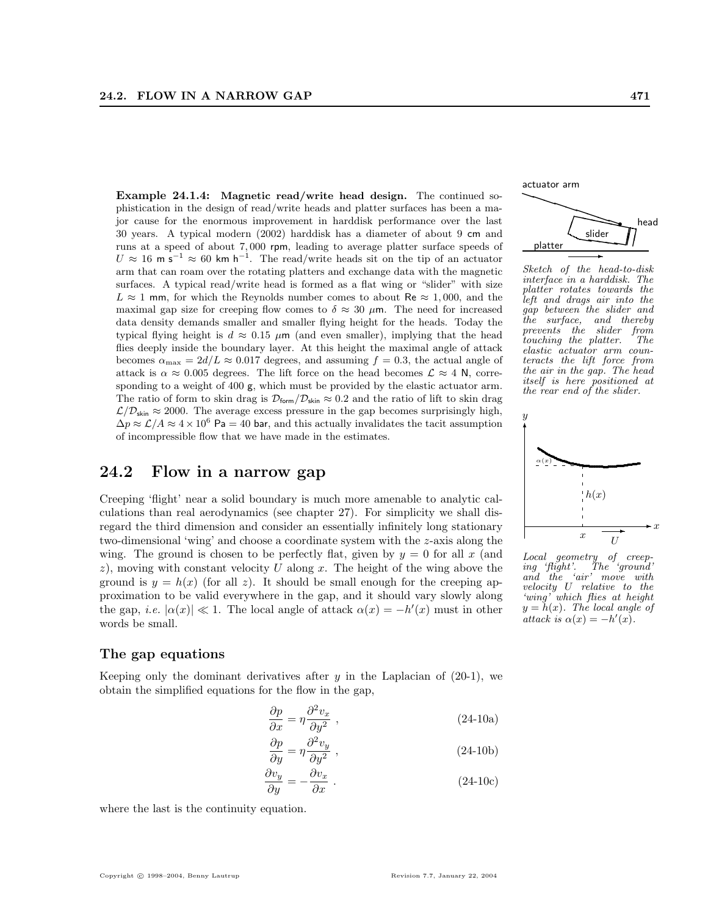Example 24.1.4: Magnetic read/write head design. The continued sophistication in the design of read/write heads and platter surfaces has been a major cause for the enormous improvement in harddisk performance over the last 30 years. A typical modern (2002) harddisk has a diameter of about 9 cm and runs at a speed of about 7, 000 rpm, leading to average platter surface speeds of  $U \approx 16$  m s<sup>-1</sup>  $\approx 60$  km h<sup>-1</sup>. The read/write heads sit on the tip of an actuator arm that can roam over the rotating platters and exchange data with the magnetic surfaces. A typical read/write head is formed as a flat wing or "slider" with size  $L \approx 1$  mm, for which the Reynolds number comes to about Re  $\approx 1,000$ , and the maximal gap size for creeping flow comes to  $\delta \approx 30 \mu$ m. The need for increased data density demands smaller and smaller flying height for the heads. Today the typical flying height is  $d \approx 0.15 \mu m$  (and even smaller), implying that the head flies deeply inside the boundary layer. At this height the maximal angle of attack becomes  $\alpha_{\text{max}} = 2d/L \approx 0.017$  degrees, and assuming  $f = 0.3$ , the actual angle of attack is  $\alpha \approx 0.005$  degrees. The lift force on the head becomes  $\mathcal{L} \approx 4$  N, corresponding to a weight of 400 g, which must be provided by the elastic actuator arm. The ratio of form to skin drag is  $\mathcal{D}_{form}/\mathcal{D}_{skin} \approx 0.2$  and the ratio of lift to skin drag  $\mathcal{L}/\mathcal{D}_{\text{skin}} \approx 2000$ . The average excess pressure in the gap becomes surprisingly high,  $\Delta p \approx \mathcal{L}/A \approx 4 \times 10^6$  Pa = 40 bar, and this actually invalidates the tacit assumption of incompressible flow that we have made in the estimates.

# 24.2 Flow in a narrow gap

Creeping 'flight' near a solid boundary is much more amenable to analytic calculations than real aerodynamics (see chapter 27). For simplicity we shall disregard the third dimension and consider an essentially infinitely long stationary two-dimensional 'wing' and choose a coordinate system with the z-axis along the wing. The ground is chosen to be perfectly flat, given by  $y = 0$  for all x (and z), moving with constant velocity U along x. The height of the wing above the ground is  $y = h(x)$  (for all z). It should be small enough for the creeping approximation to be valid everywhere in the gap, and it should vary slowly along the gap, *i.e.*  $|\alpha(x)| \ll 1$ . The local angle of attack  $\alpha(x) = -h'(x)$  must in other words be small.

# The gap equations

Keeping only the dominant derivatives after  $y$  in the Laplacian of (20-1), we obtain the simplified equations for the flow in the gap,

$$
\frac{\partial p}{\partial x} = \eta \frac{\partial^2 v_x}{\partial y^2} \tag{24-10a}
$$

$$
\frac{\partial p}{\partial y} = \eta \frac{\partial^2 v_y}{\partial y^2} \tag{24-10b}
$$

$$
\frac{\partial v_y}{\partial y} = -\frac{\partial v_x}{\partial x} \tag{24-10c}
$$

where the last is the continuity equation.

slider ✂ ✂  $\diagup$ ☎ ☎  $\searrow$  $\overline{\phantom{0}}$  $\overline{\phantom{0}}$  $\overline{\phantom{0}}$  $\overline{\phantom{0}}$ ∥ ☎ r actuator arm platter head  $\overline{\phantom{a}}$ 

Sketch of the head-to-disk interface in a harddisk. The platter rotates towards the left and drags air into the gap between the slider and the surface, and thereby prevents the slider from touching the platter. The elastic actuator arm counteracts the lift force from the air in the gap. The head itself is here positioned at the rear end of the slider.



Local geometry of creeping 'flight'. The 'ground' ing 'flight'. The 'ground'<br>and the 'air' move with velocity U relative to the 'wing' which flies at height  $y = h(x)$ . The local angle of attack is  $\alpha(x) = -h'(x)$ .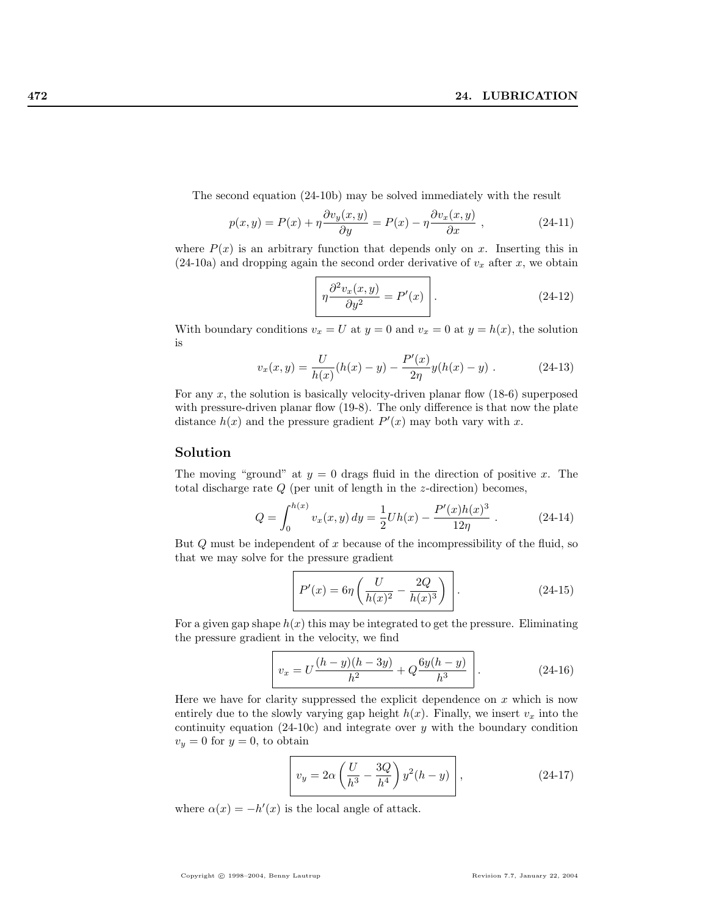The second equation (24-10b) may be solved immediately with the result

$$
p(x,y) = P(x) + \eta \frac{\partial v_y(x,y)}{\partial y} = P(x) - \eta \frac{\partial v_x(x,y)}{\partial x}, \qquad (24-11)
$$

where  $P(x)$  is an arbitrary function that depends only on x. Inserting this in  $(24-10a)$  and dropping again the second order derivative of  $v_x$  after x, we obtain

$$
\left[ \eta \frac{\partial^2 v_x(x, y)}{\partial y^2} = P'(x) \right]. \tag{24-12}
$$

With boundary conditions  $v_x = U$  at  $y = 0$  and  $v_x = 0$  at  $y = h(x)$ , the solution is

$$
v_x(x,y) = \frac{U}{h(x)}(h(x) - y) - \frac{P'(x)}{2\eta}y(h(x) - y) .
$$
 (24-13)

For any  $x$ , the solution is basically velocity-driven planar flow  $(18-6)$  superposed with pressure-driven planar flow (19-8). The only difference is that now the plate distance  $h(x)$  and the pressure gradient  $P'(x)$  may both vary with x.

## Solution

The moving "ground" at  $y = 0$  drags fluid in the direction of positive x. The total discharge rate  $Q$  (per unit of length in the  $z$ -direction) becomes,

$$
Q = \int_0^{h(x)} v_x(x, y) dy = \frac{1}{2} Uh(x) - \frac{P'(x)h(x)^3}{12\eta} .
$$
 (24-14)

But  $Q$  must be independent of x because of the incompressibility of the fluid, so that we may solve for the pressure gradient

$$
P'(x) = 6\eta \left(\frac{U}{h(x)^2} - \frac{2Q}{h(x)^3}\right).
$$
 (24-15)

For a given gap shape  $h(x)$  this may be integrated to get the pressure. Eliminating the pressure gradient in the velocity, we find

$$
v_x = U \frac{(h-y)(h-3y)}{h^2} + Q \frac{6y(h-y)}{h^3}.
$$
 (24-16)

Here we have for clarity suppressed the explicit dependence on  $x$  which is now entirely due to the slowly varying gap height  $h(x)$ . Finally, we insert  $v_x$  into the continuity equation  $(24-10c)$  and integrate over y with the boundary condition  $v_y = 0$  for  $y = 0$ , to obtain

$$
v_y = 2\alpha \left(\frac{U}{h^3} - \frac{3Q}{h^4}\right) y^2 (h - y) \qquad (24-17)
$$

where  $\alpha(x) = -h'(x)$  is the local angle of attack.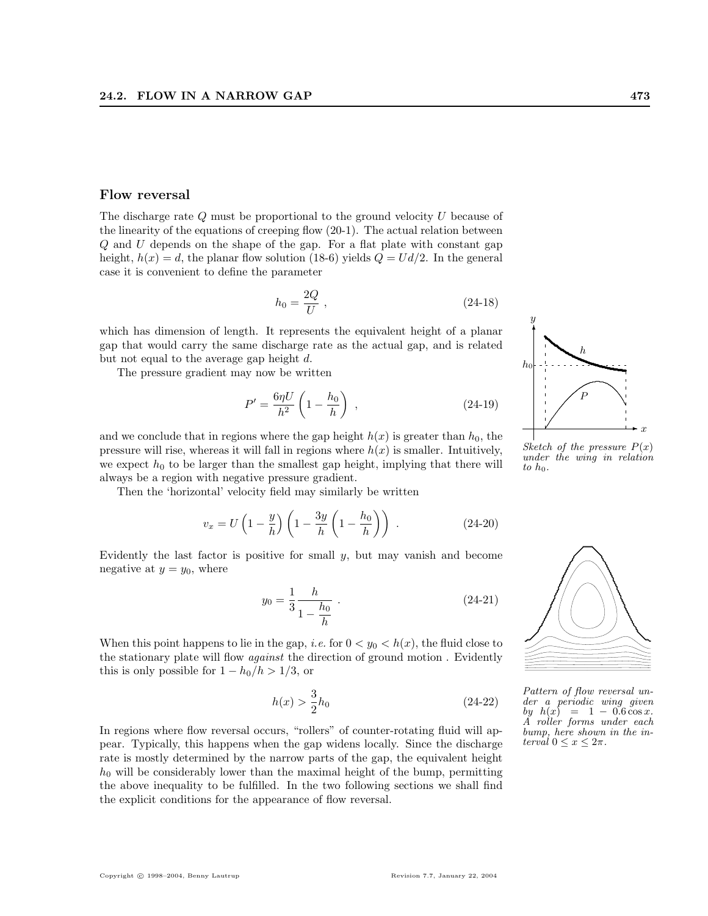#### Flow reversal

The discharge rate Q must be proportional to the ground velocity U because of the linearity of the equations of creeping flow (20-1). The actual relation between Q and U depends on the shape of the gap. For a flat plate with constant gap height,  $h(x) = d$ , the planar flow solution (18-6) yields  $Q = U d/2$ . In the general case it is convenient to define the parameter

$$
h_0 = \frac{2Q}{U},\qquad(24-18)
$$

which has dimension of length. It represents the equivalent height of a planar gap that would carry the same discharge rate as the actual gap, and is related but not equal to the average gap height d.

The pressure gradient may now be written

$$
P' = \frac{6\eta U}{h^2} \left( 1 - \frac{h_0}{h} \right) , \qquad (24-19)
$$

and we conclude that in regions where the gap height  $h(x)$  is greater than  $h_0$ , the pressure will rise, whereas it will fall in regions where  $h(x)$  is smaller. Intuitively, we expect  $h_0$  to be larger than the smallest gap height, implying that there will always be a region with negative pressure gradient.

Then the 'horizontal' velocity field may similarly be written

$$
v_x = U\left(1 - \frac{y}{h}\right)\left(1 - \frac{3y}{h}\left(1 - \frac{h_0}{h}\right)\right) \tag{24-20}
$$

Evidently the last factor is positive for small  $y$ , but may vanish and become negative at  $y = y_0$ , where

$$
y_0 = \frac{1}{3} \frac{h}{1 - \frac{h_0}{h}} \tag{24-21}
$$

When this point happens to lie in the gap, *i.e.* for  $0 < y_0 < h(x)$ , the fluid close to the stationary plate will flow *against* the direction of ground motion. Evidently this is only possible for  $1 - h_0/h > 1/3$ , or

$$
h(x) > \frac{3}{2}h_0\tag{24-22}
$$

In regions where flow reversal occurs, "rollers" of counter-rotating fluid will appear. Typically, this happens when the gap widens locally. Since the discharge rate is mostly determined by the narrow parts of the gap, the equivalent height  $h_0$  will be considerably lower than the maximal height of the bump, permitting the above inequality to be fulfilled. In the two following sections we shall find the explicit conditions for the appearance of flow reversal.



Sketch of the pressure  $P(x)$ under the wing in relation to  $h_0$ .



Pattern of flow reversal under a periodic wing given by  $h(x) = 1 - 0.6 \cos x$ .  $\check{A}$  roller forms under each bump, here shown in the interval  $0 \leq x \leq 2\pi$ .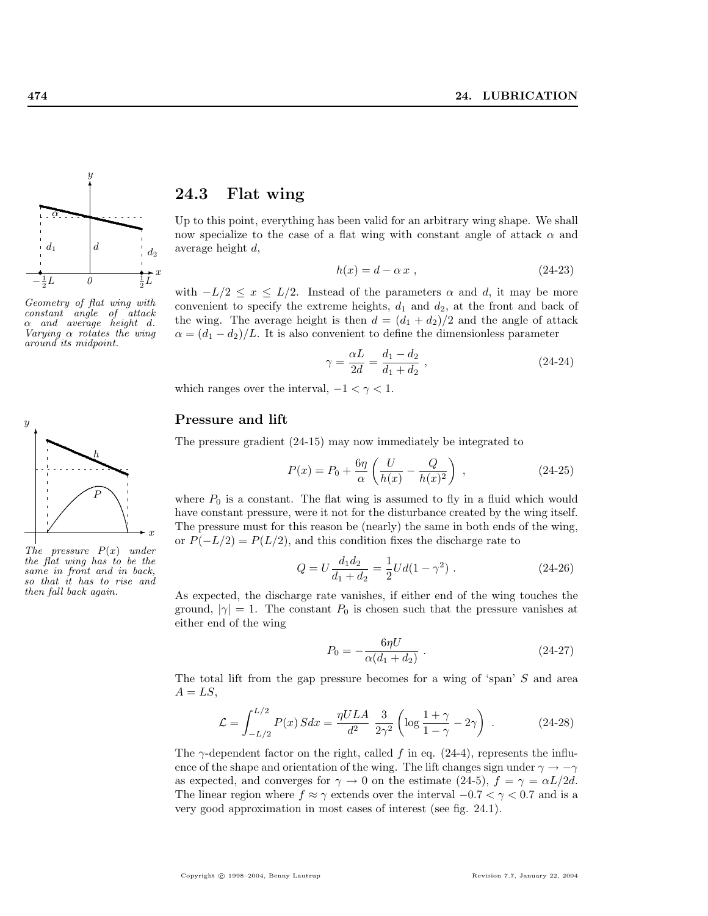

Geometry of flat wing with constant angle of attack  $\alpha$  and average height d. Varying α rotates the wing around its midpoint.



The pressure  $P(x)$  under the flat wing has to be the same in front and in back, so that it has to rise and then fall back again.

# 24.3 Flat wing

Up to this point, everything has been valid for an arbitrary wing shape. We shall now specialize to the case of a flat wing with constant angle of attack  $\alpha$  and average height d,

$$
h(x) = d - \alpha x \tag{24-23}
$$

with  $-L/2 \leq x \leq L/2$ . Instead of the parameters  $\alpha$  and d, it may be more convenient to specify the extreme heights,  $d_1$  and  $d_2$ , at the front and back of the wing. The average height is then  $d = (d_1 + d_2)/2$  and the angle of attack  $\alpha = (d_1 - d_2)/L$ . It is also convenient to define the dimensionless parameter

$$
\gamma = \frac{\alpha L}{2d} = \frac{d_1 - d_2}{d_1 + d_2} \,,\tag{24-24}
$$

which ranges over the interval,  $-1 < \gamma < 1$ .

# Pressure and lift

The pressure gradient (24-15) may now immediately be integrated to

$$
P(x) = P_0 + \frac{6\eta}{\alpha} \left( \frac{U}{h(x)} - \frac{Q}{h(x)^2} \right) ,
$$
 (24-25)

where  $P_0$  is a constant. The flat wing is assumed to fly in a fluid which would have constant pressure, were it not for the disturbance created by the wing itself. The pressure must for this reason be (nearly) the same in both ends of the wing, or  $P(-L/2) = P(L/2)$ , and this condition fixes the discharge rate to

$$
Q = U \frac{d_1 d_2}{d_1 + d_2} = \frac{1}{2} U d (1 - \gamma^2) \tag{24-26}
$$

As expected, the discharge rate vanishes, if either end of the wing touches the ground,  $|\gamma|=1$ . The constant  $P_0$  is chosen such that the pressure vanishes at either end of the wing

$$
P_0 = -\frac{6\eta U}{\alpha (d_1 + d_2)}\,. \tag{24-27}
$$

The total lift from the gap pressure becomes for a wing of 'span' S and area  $A = LS$ ,

$$
\mathcal{L} = \int_{-L/2}^{L/2} P(x) S dx = \frac{\eta U L A}{d^2} \frac{3}{2\gamma^2} \left( \log \frac{1+\gamma}{1-\gamma} - 2\gamma \right) . \tag{24-28}
$$

The  $\gamma$ -dependent factor on the right, called f in eq. (24-4), represents the influence of the shape and orientation of the wing. The lift changes sign under  $\gamma \to -\gamma$ as expected, and converges for  $\gamma \to 0$  on the estimate (24-5),  $f = \gamma = \alpha L/2d$ . The linear region where  $f \approx \gamma$  extends over the interval  $-0.7 < \gamma < 0.7$  and is a very good approximation in most cases of interest (see fig. 24.1).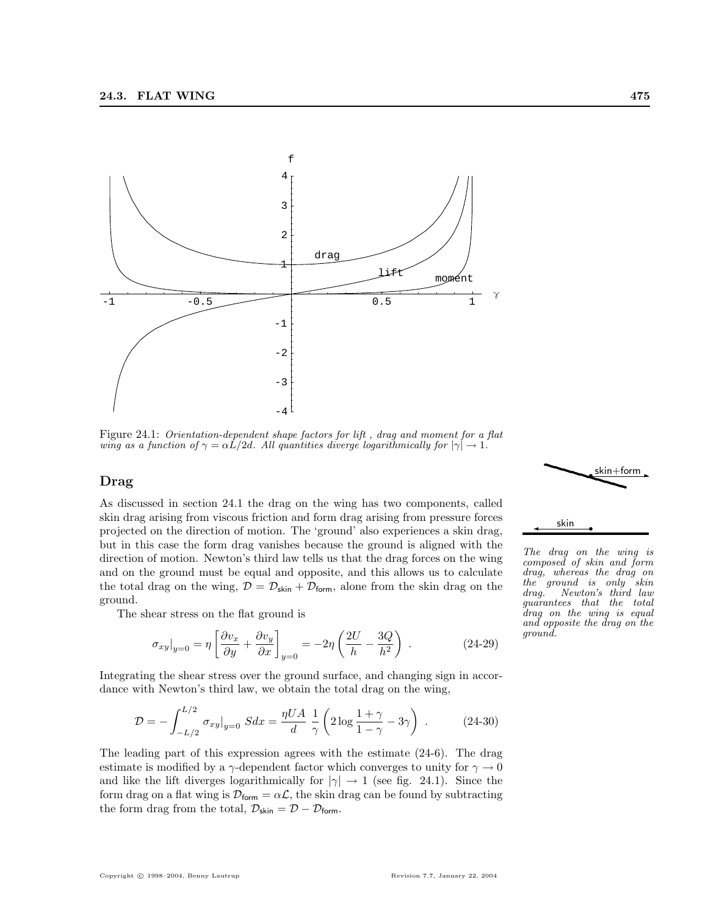

Figure 24.1: Orientation-dependent shape factors for lift , drag and moment for a flat wing as a function of  $\gamma = \alpha L/2d$ . All quantities diverge logarithmically for  $|\gamma| \to 1$ .

#### Drag

As discussed in section 24.1 the drag on the wing has two components, called skin drag arising from viscous friction and form drag arising from pressure forces projected on the direction of motion. The 'ground' also experiences a skin drag, but in this case the form drag vanishes because the ground is aligned with the direction of motion. Newton's third law tells us that the drag forces on the wing and on the ground must be equal and opposite, and this allows us to calculate the total drag on the wing,  $\mathcal{D} = \mathcal{D}_{\text{skin}} + \mathcal{D}_{\text{form}}$ , alone from the skin drag on the ground.

The shear stress on the flat ground is

$$
\sigma_{xy}|_{y=0} = \eta \left[ \frac{\partial v_x}{\partial y} + \frac{\partial v_y}{\partial x} \right]_{y=0} = -2\eta \left( \frac{2U}{h} - \frac{3Q}{h^2} \right) . \tag{24-29}
$$

Integrating the shear stress over the ground surface, and changing sign in accordance with Newton's third law, we obtain the total drag on the wing,

$$
\mathcal{D} = -\int_{-L/2}^{L/2} \sigma_{xy}|_{y=0} S dx = \frac{\eta UA}{d} \frac{1}{\gamma} \left( 2 \log \frac{1+\gamma}{1-\gamma} - 3\gamma \right) . \tag{24-30}
$$

The leading part of this expression agrees with the estimate (24-6). The drag estimate is modified by a  $\gamma$ -dependent factor which converges to unity for  $\gamma \to 0$ and like the lift diverges logarithmically for  $|\gamma| \to 1$  (see fig. 24.1). Since the form drag on a flat wing is  $\mathcal{D}_{form} = \alpha \mathcal{L}$ , the skin drag can be found by subtracting the form drag from the total,  $\mathcal{D}_{\text{skin}} = \mathcal{D} - \mathcal{D}_{\text{form}}$ .



The drag on the wing is composed of skin and form drag, whereas the drag on the ground is only skin drag. Newton's third law guarantees that the total drag on the wing is equal and opposite the drag on the ground.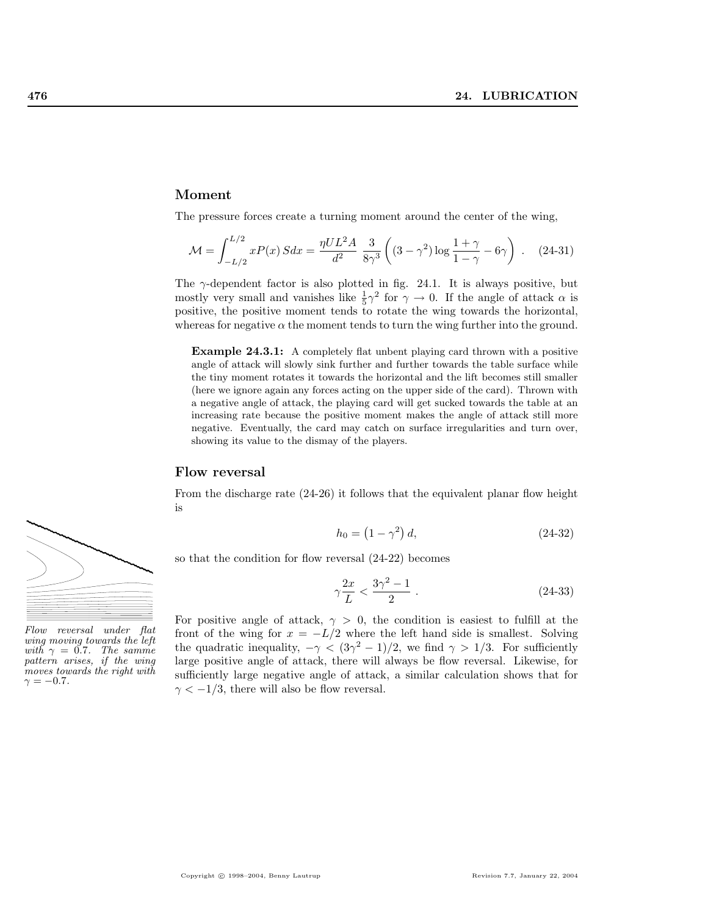#### Moment

The pressure forces create a turning moment around the center of the wing,

$$
\mathcal{M} = \int_{-L/2}^{L/2} x P(x) S dx = \frac{\eta U L^2 A}{d^2} \frac{3}{8\gamma^3} \left( (3 - \gamma^2) \log \frac{1 + \gamma}{1 - \gamma} - 6\gamma \right) . \quad (24-31)
$$

The  $\gamma$ -dependent factor is also plotted in fig. 24.1. It is always positive, but mostly very small and vanishes like  $\frac{1}{5}\gamma^2$  for  $\gamma \to 0$ . If the angle of attack  $\alpha$  is positive, the positive moment tends to rotate the wing towards the horizontal, whereas for negative  $\alpha$  the moment tends to turn the wing further into the ground.

Example 24.3.1: A completely flat unbent playing card thrown with a positive angle of attack will slowly sink further and further towards the table surface while the tiny moment rotates it towards the horizontal and the lift becomes still smaller (here we ignore again any forces acting on the upper side of the card). Thrown with a negative angle of attack, the playing card will get sucked towards the table at an increasing rate because the positive moment makes the angle of attack still more negative. Eventually, the card may catch on surface irregularities and turn over, showing its value to the dismay of the players.

# Flow reversal

From the discharge rate (24-26) it follows that the equivalent planar flow height is

$$
h_0 = (1 - \gamma^2) d,
$$
 (24-32)

so that the condition for flow reversal (24-22) becomes

$$
\gamma \frac{2x}{L} < \frac{3\gamma^2 - 1}{2} \tag{24-33}
$$

For positive angle of attack,  $\gamma > 0$ , the condition is easiest to fulfill at the front of the wing for  $x = -L/2$  where the left hand side is smallest. Solving the quadratic inequality,  $-\gamma < (3\gamma^2 - 1)/2$ , we find  $\gamma > 1/3$ . For sufficiently large positive angle of attack, there will always be flow reversal. Likewise, for sufficiently large negative angle of attack, a similar calculation shows that for  $\gamma < -1/3$ , there will also be flow reversal.



wing moving towards the left with  $\gamma = 0.7$ . The samme pattern arises, if the wing moves towards the right with  $\gamma = -0.7$ .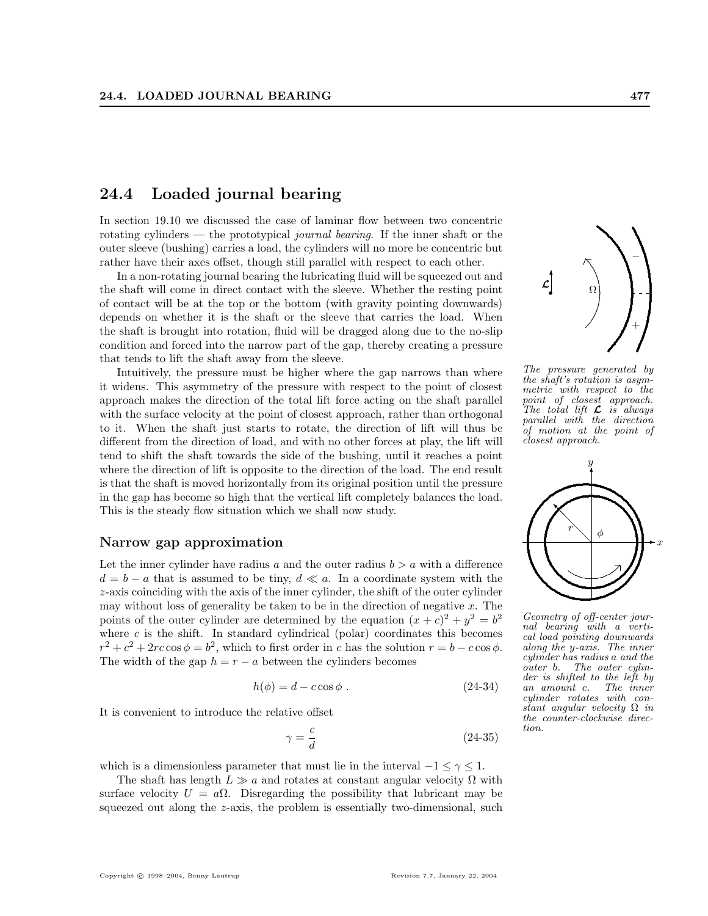# 24.4 Loaded journal bearing

In section 19.10 we discussed the case of laminar flow between two concentric rotating cylinders — the prototypical journal bearing. If the inner shaft or the outer sleeve (bushing) carries a load, the cylinders will no more be concentric but rather have their axes offset, though still parallel with respect to each other.

In a non-rotating journal bearing the lubricating fluid will be squeezed out and the shaft will come in direct contact with the sleeve. Whether the resting point of contact will be at the top or the bottom (with gravity pointing downwards) depends on whether it is the shaft or the sleeve that carries the load. When the shaft is brought into rotation, fluid will be dragged along due to the no-slip condition and forced into the narrow part of the gap, thereby creating a pressure that tends to lift the shaft away from the sleeve.

Intuitively, the pressure must be higher where the gap narrows than where it widens. This asymmetry of the pressure with respect to the point of closest approach makes the direction of the total lift force acting on the shaft parallel with the surface velocity at the point of closest approach, rather than orthogonal to it. When the shaft just starts to rotate, the direction of lift will thus be different from the direction of load, and with no other forces at play, the lift will tend to shift the shaft towards the side of the bushing, until it reaches a point where the direction of lift is opposite to the direction of the load. The end result is that the shaft is moved horizontally from its original position until the pressure in the gap has become so high that the vertical lift completely balances the load. This is the steady flow situation which we shall now study.

#### Narrow gap approximation

Let the inner cylinder have radius a and the outer radius  $b > a$  with a difference  $d = b - a$  that is assumed to be tiny,  $d \ll a$ . In a coordinate system with the z-axis coinciding with the axis of the inner cylinder, the shift of the outer cylinder may without loss of generality be taken to be in the direction of negative  $x$ . The points of the outer cylinder are determined by the equation  $(x + c)^2 + y^2 = b^2$ where  $c$  is the shift. In standard cylindrical (polar) coordinates this becomes  $r^2 + c^2 + 2rc\cos\phi = b^2$ , which to first order in c has the solution  $r = b - c\cos\phi$ . The width of the gap  $h = r - a$  between the cylinders becomes

$$
h(\phi) = d - c \cos \phi \tag{24-34}
$$

It is convenient to introduce the relative offset

$$
\gamma = \frac{c}{d} \tag{24-35}
$$

which is a dimensionless parameter that must lie in the interval  $-1 \leq \gamma \leq 1$ .

The shaft has length  $L \gg a$  and rotates at constant angular velocity  $\Omega$  with surface velocity  $U = a\Omega$ . Disregarding the possibility that lubricant may be squeezed out along the z-axis, the problem is essentially two-dimensional, such

 $\prime$  and the set of  $\prime$  $^{+}$ The pressure generated by the shaft's rotation is asymmetric with respect to the point of closest approach. The total lift  $\mathcal L$  is always<br>parallel with the direction of motion at the point of closest approach.

.

Ω

 $\overline{\phantom{a}}$ L  $^{\circ}$ 



Geometry of off-center journal bearing with a vertical load pointing downwards along the y-axis. The inner cylinder has radius a and the outer b. The outer cylinder is shifted to the left by an amount c. The inner cylinder rotates with constant angular velocity  $\Omega$  in the counter-clockwise direction.

−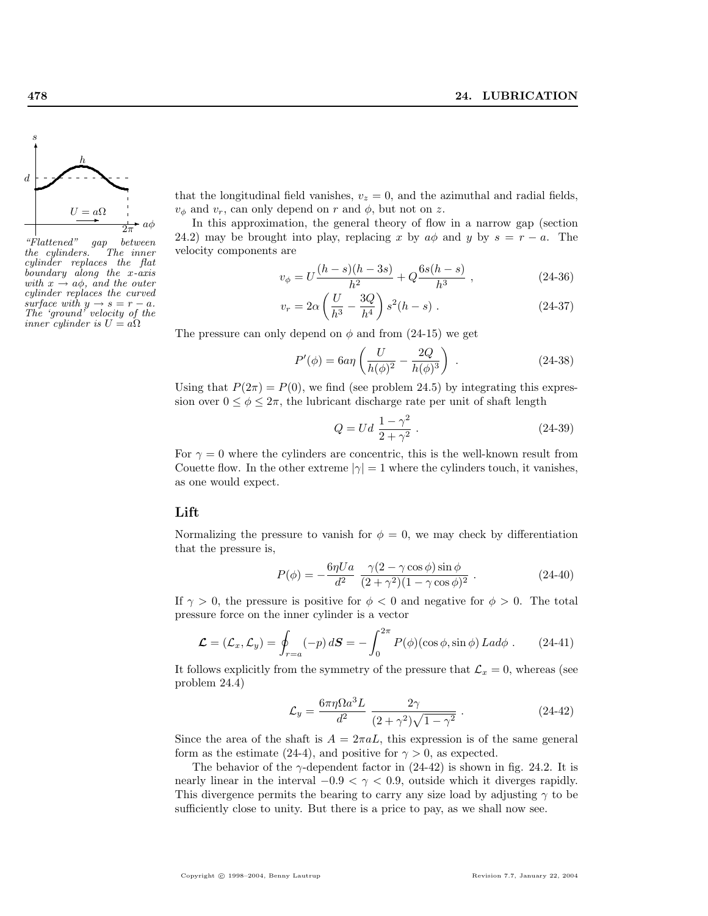

 $"Flattened"$  gap between<br>the cylinders. The inner the cylinders. cylinder replaces the flat boundary along the x-axis with  $x \rightarrow a\phi$ , and the outer cylinder replaces the curved surface with  $y \rightarrow s = r - a$ . The 'ground' velocity of the inner cylinder is  $U = a\Omega$ 

that the longitudinal field vanishes,  $v_z = 0$ , and the azimuthal and radial fields,  $v_{\phi}$  and  $v_r$ , can only depend on r and  $\phi$ , but not on z.

In this approximation, the general theory of flow in a narrow gap (section 24.2) may be brought into play, replacing x by  $a\phi$  and y by  $s = r - a$ . The velocity components are

$$
v_{\phi} = U \frac{(h-s)(h-3s)}{h^2} + Q \frac{6s(h-s)}{h^3} , \qquad (24-36)
$$

$$
v_r = 2\alpha \left(\frac{U}{h^3} - \frac{3Q}{h^4}\right) s^2 (h - s) \ . \tag{24-37}
$$

The pressure can only depend on  $\phi$  and from (24-15) we get

$$
P'(\phi) = 6a\eta \left( \frac{U}{h(\phi)^2} - \frac{2Q}{h(\phi)^3} \right) .
$$
 (24-38)

Using that  $P(2\pi) = P(0)$ , we find (see problem 24.5) by integrating this expression over  $0 \le \phi \le 2\pi$ , the lubricant discharge rate per unit of shaft length

$$
Q = Ud \frac{1 - \gamma^2}{2 + \gamma^2} \,. \tag{24-39}
$$

For  $\gamma = 0$  where the cylinders are concentric, this is the well-known result from Couette flow. In the other extreme  $|\gamma|=1$  where the cylinders touch, it vanishes, as one would expect.

#### Lift

Normalizing the pressure to vanish for  $\phi = 0$ , we may check by differentiation that the pressure is,

$$
P(\phi) = -\frac{6\eta U a}{d^2} \frac{\gamma (2 - \gamma \cos \phi) \sin \phi}{(2 + \gamma^2)(1 - \gamma \cos \phi)^2} .
$$
 (24-40)

If  $\gamma > 0$ , the pressure is positive for  $\phi < 0$  and negative for  $\phi > 0$ . The total pressure force on the inner cylinder is a vector

$$
\mathcal{L} = (\mathcal{L}_x, \mathcal{L}_y) = \oint_{r=a} (-p) dS = -\int_0^{2\pi} P(\phi)(\cos \phi, \sin \phi) L a d\phi \,. \tag{24-41}
$$

It follows explicitly from the symmetry of the pressure that  $\mathcal{L}_x = 0$ , whereas (see problem 24.4)

$$
\mathcal{L}_y = \frac{6\pi\eta\Omega a^3 L}{d^2} \frac{2\gamma}{(2+\gamma^2)\sqrt{1-\gamma^2}}.
$$
\n(24-42)

Since the area of the shaft is  $A = 2\pi aL$ , this expression is of the same general form as the estimate (24-4), and positive for  $\gamma > 0$ , as expected.

The behavior of the  $\gamma$ -dependent factor in (24-42) is shown in fig. 24.2. It is nearly linear in the interval  $-0.9 < \gamma < 0.9$ , outside which it diverges rapidly. This divergence permits the bearing to carry any size load by adjusting  $\gamma$  to be sufficiently close to unity. But there is a price to pay, as we shall now see.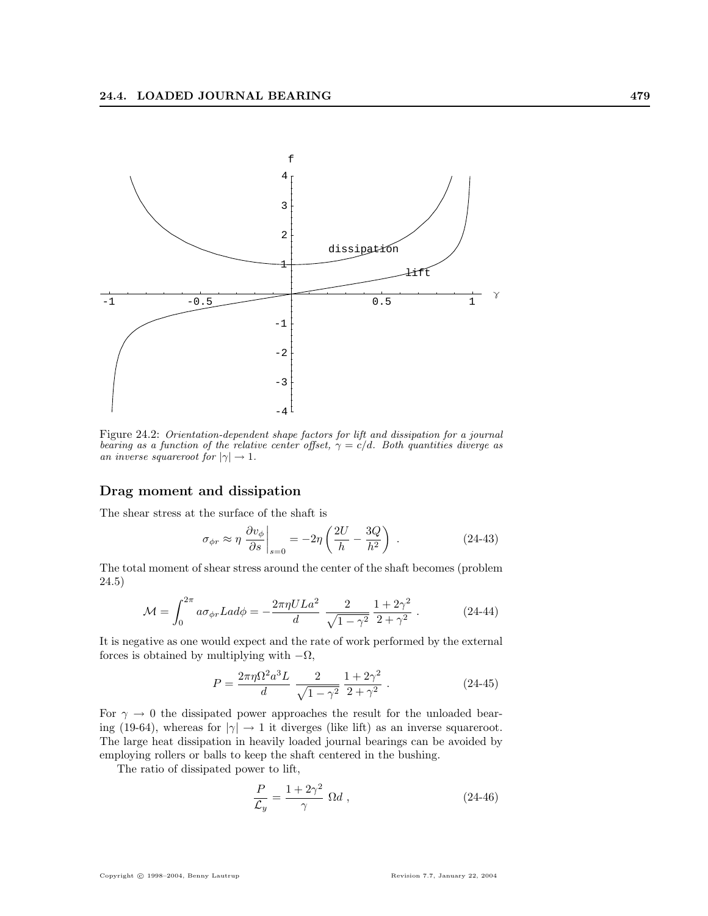

Figure 24.2: Orientation-dependent shape factors for lift and dissipation for a journal bearing as a function of the relative center offset,  $\gamma = c/d$ . Both quantities diverge as an inverse squareroot for  $|\gamma| \to 1$ .

#### Drag moment and dissipation

The shear stress at the surface of the shaft is

$$
\sigma_{\phi r} \approx \eta \left. \frac{\partial v_{\phi}}{\partial s} \right|_{s=0} = -2\eta \left( \frac{2U}{h} - \frac{3Q}{h^2} \right) \,. \tag{24-43}
$$

The total moment of shear stress around the center of the shaft becomes (problem 24.5)

$$
\mathcal{M} = \int_0^{2\pi} a \sigma_{\phi r} L a d\phi = -\frac{2\pi \eta U L a^2}{d} \frac{2}{\sqrt{1 - \gamma^2}} \frac{1 + 2\gamma^2}{2 + \gamma^2} .
$$
 (24-44)

It is negative as one would expect and the rate of work performed by the external forces is obtained by multiplying with  $-\Omega$ ,

$$
P = \frac{2\pi\eta\Omega^2 a^3 L}{d} \frac{2}{\sqrt{1-\gamma^2}} \frac{1+2\gamma^2}{2+\gamma^2} .
$$
 (24-45)

For  $\gamma \to 0$  the dissipated power approaches the result for the unloaded bearing (19-64), whereas for  $|\gamma| \to 1$  it diverges (like lift) as an inverse squareroot. The large heat dissipation in heavily loaded journal bearings can be avoided by employing rollers or balls to keep the shaft centered in the bushing.

The ratio of dissipated power to lift,

$$
\frac{P}{\mathcal{L}_y} = \frac{1 + 2\gamma^2}{\gamma} \ \Omega d \ , \tag{24-46}
$$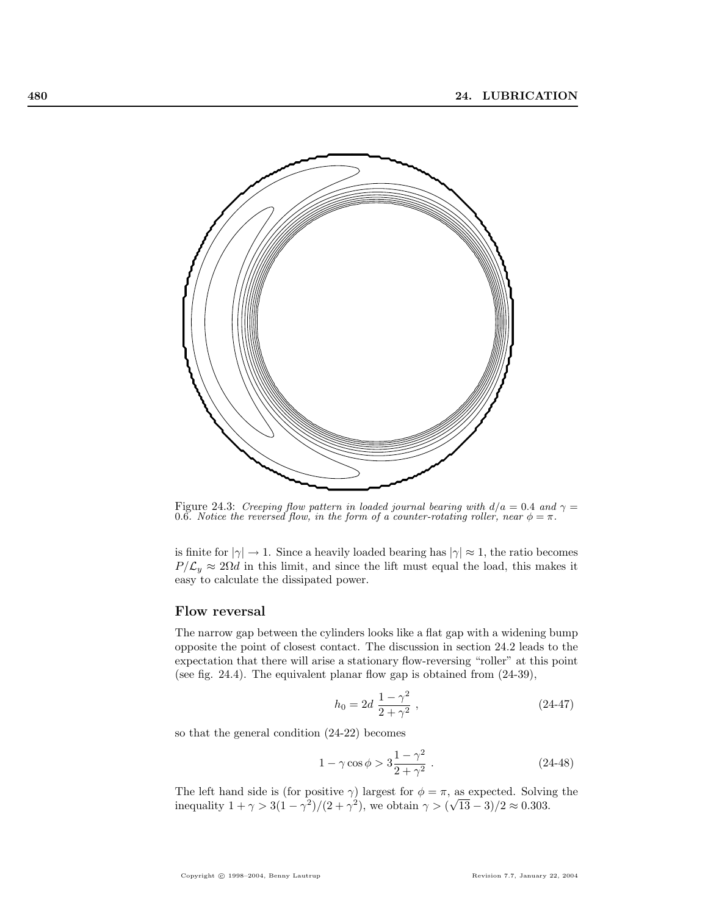

Figure 24.3: Creeping flow pattern in loaded journal bearing with  $d/a = 0.4$  and  $\gamma =$ 0.6. Notice the reversed flow, in the form of a counter-rotating roller, near  $\phi = \pi$ .

is finite for  $|\gamma| \to 1$ . Since a heavily loaded bearing has  $|\gamma| \approx 1$ , the ratio becomes  $P/\mathcal{L}_y \approx 2\Omega d$  in this limit, and since the lift must equal the load, this makes it easy to calculate the dissipated power.

#### Flow reversal

The narrow gap between the cylinders looks like a flat gap with a widening bump opposite the point of closest contact. The discussion in section 24.2 leads to the expectation that there will arise a stationary flow-reversing "roller" at this point (see fig. 24.4). The equivalent planar flow gap is obtained from (24-39),

$$
h_0 = 2d \frac{1 - \gamma^2}{2 + \gamma^2},
$$
\n(24-47)

so that the general condition (24-22) becomes

$$
1 - \gamma \cos \phi > 3 \frac{1 - \gamma^2}{2 + \gamma^2} \,. \tag{24-48}
$$

The left hand side is (for positive  $\gamma$ ) largest for  $\phi = \pi$ , as expected. Solving the inequality  $1 + \gamma > 3(1 - \gamma^2)/(2 + \gamma^2)$ , we obtain  $\gamma > (\sqrt{13} - 3)/2 \approx 0.303$ .